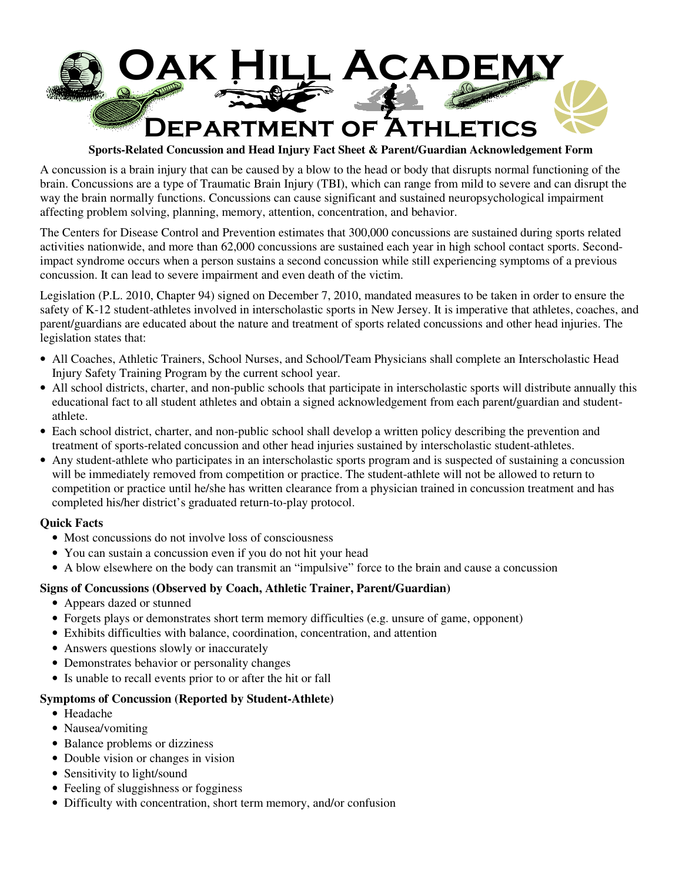

**Sports-Related Concussion and Head Injury Fact Sheet & Parent/Guardian Acknowledgement Form** 

A concussion is a brain injury that can be caused by a blow to the head or body that disrupts normal functioning of the brain. Concussions are a type of Traumatic Brain Injury (TBI), which can range from mild to severe and can disrupt the way the brain normally functions. Concussions can cause significant and sustained neuropsychological impairment affecting problem solving, planning, memory, attention, concentration, and behavior.

The Centers for Disease Control and Prevention estimates that 300,000 concussions are sustained during sports related activities nationwide, and more than 62,000 concussions are sustained each year in high school contact sports. Secondimpact syndrome occurs when a person sustains a second concussion while still experiencing symptoms of a previous concussion. It can lead to severe impairment and even death of the victim.

Legislation (P.L. 2010, Chapter 94) signed on December 7, 2010, mandated measures to be taken in order to ensure the safety of K-12 student-athletes involved in interscholastic sports in New Jersey. It is imperative that athletes, coaches, and parent/guardians are educated about the nature and treatment of sports related concussions and other head injuries. The legislation states that:

- All Coaches, Athletic Trainers, School Nurses, and School/Team Physicians shall complete an Interscholastic Head Injury Safety Training Program by the current school year.
- All school districts, charter, and non-public schools that participate in interscholastic sports will distribute annually this educational fact to all student athletes and obtain a signed acknowledgement from each parent/guardian and studentathlete.
- Each school district, charter, and non-public school shall develop a written policy describing the prevention and treatment of sports-related concussion and other head injuries sustained by interscholastic student-athletes.
- Any student-athlete who participates in an interscholastic sports program and is suspected of sustaining a concussion will be immediately removed from competition or practice. The student-athlete will not be allowed to return to competition or practice until he/she has written clearance from a physician trained in concussion treatment and has completed his/her district's graduated return-to-play protocol.

## **Quick Facts**

- Most concussions do not involve loss of consciousness
- You can sustain a concussion even if you do not hit your head
- A blow elsewhere on the body can transmit an "impulsive" force to the brain and cause a concussion

## **Signs of Concussions (Observed by Coach, Athletic Trainer, Parent/Guardian)**

- Appears dazed or stunned
- Forgets plays or demonstrates short term memory difficulties (e.g. unsure of game, opponent)
- Exhibits difficulties with balance, coordination, concentration, and attention
- Answers questions slowly or inaccurately
- Demonstrates behavior or personality changes
- Is unable to recall events prior to or after the hit or fall

## **Symptoms of Concussion (Reported by Student-Athlete)**

- Headache
- Nausea/vomiting
- Balance problems or dizziness
- Double vision or changes in vision
- Sensitivity to light/sound
- Feeling of sluggishness or fogginess
- Difficulty with concentration, short term memory, and/or confusion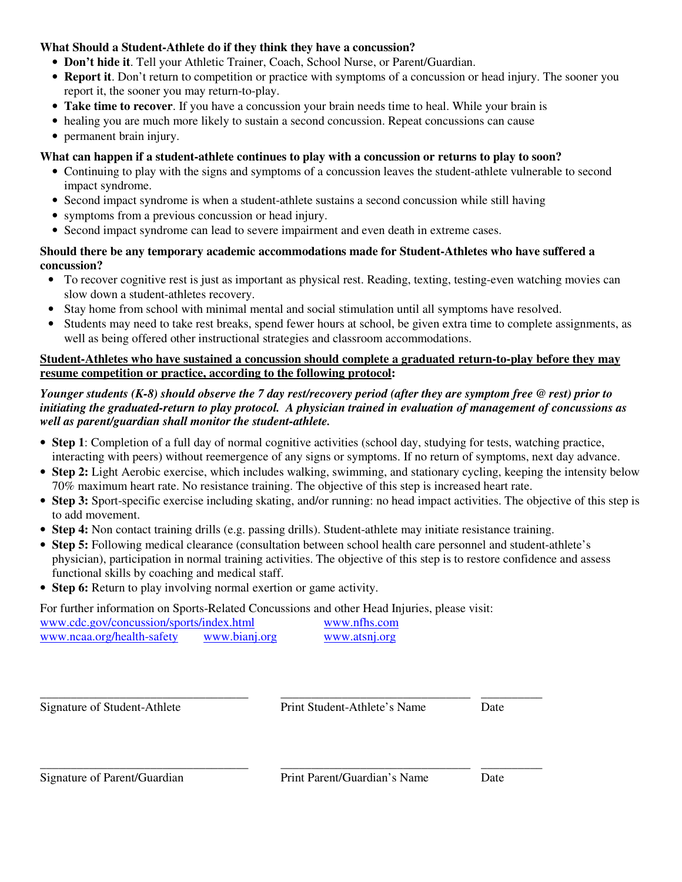## **What Should a Student-Athlete do if they think they have a concussion?**

- **Don't hide it**. Tell your Athletic Trainer, Coach, School Nurse, or Parent/Guardian.
- **Report it**. Don't return to competition or practice with symptoms of a concussion or head injury. The sooner you report it, the sooner you may return-to-play.
- **Take time to recover**. If you have a concussion your brain needs time to heal. While your brain is
- healing you are much more likely to sustain a second concussion. Repeat concussions can cause
- permanent brain injury.

# **What can happen if a student-athlete continues to play with a concussion or returns to play to soon?**

- Continuing to play with the signs and symptoms of a concussion leaves the student-athlete vulnerable to second impact syndrome.
- Second impact syndrome is when a student-athlete sustains a second concussion while still having
- symptoms from a previous concussion or head injury.
- Second impact syndrome can lead to severe impairment and even death in extreme cases.

## **Should there be any temporary academic accommodations made for Student-Athletes who have suffered a concussion?**

- To recover cognitive rest is just as important as physical rest. Reading, texting, testing-even watching movies can slow down a student-athletes recovery.
- Stay home from school with minimal mental and social stimulation until all symptoms have resolved.
- Students may need to take rest breaks, spend fewer hours at school, be given extra time to complete assignments, as well as being offered other instructional strategies and classroom accommodations.

## **Student-Athletes who have sustained a concussion should complete a graduated return-to-play before they may resume competition or practice, according to the following protocol:**

## *Younger students (K-8) should observe the 7 day rest/recovery period (after they are symptom free @ rest) prior to initiating the graduated-return to play protocol. A physician trained in evaluation of management of concussions as well as parent/guardian shall monitor the student-athlete.*

- **Step 1**: Completion of a full day of normal cognitive activities (school day, studying for tests, watching practice, interacting with peers) without reemergence of any signs or symptoms. If no return of symptoms, next day advance.
- **Step 2:** Light Aerobic exercise, which includes walking, swimming, and stationary cycling, keeping the intensity below 70% maximum heart rate. No resistance training. The objective of this step is increased heart rate.
- **Step 3:** Sport-specific exercise including skating, and/or running: no head impact activities. The objective of this step is to add movement.
- **Step 4:** Non contact training drills (e.g. passing drills). Student-athlete may initiate resistance training.

\_\_\_\_\_\_\_\_\_\_\_\_\_\_\_\_\_\_\_\_\_\_\_\_\_\_\_\_\_\_\_\_\_\_ \_\_\_\_\_\_\_\_\_\_\_\_\_\_\_\_\_\_\_\_\_\_\_\_\_\_\_\_\_\_\_ \_\_\_\_\_\_\_\_\_\_

- **Step 5:** Following medical clearance (consultation between school health care personnel and student-athlete's physician), participation in normal training activities. The objective of this step is to restore confidence and assess functional skills by coaching and medical staff.
- **Step 6:** Return to play involving normal exertion or game activity.

For further information on Sports-Related Concussions and other Head Injuries, please visit:

| www.cdc.gov/concussion/sports/index.html |               | www.nfhs.com  |
|------------------------------------------|---------------|---------------|
| www.ncaa.org/health-safety               | www.bianj.org | www.atsnj.org |

\_\_\_\_\_\_\_\_\_\_\_\_\_\_\_\_\_\_\_\_\_\_\_\_\_\_\_\_\_\_\_\_\_\_ \_\_\_\_\_\_\_\_\_\_\_\_\_\_\_\_\_\_\_\_\_\_\_\_\_\_\_\_\_\_\_ \_\_\_\_\_\_\_\_\_\_

Signature of Student-Athlete Print Student-Athlete's Name Date

Signature of Parent/Guardian Print Parent/Guardian's Name Date